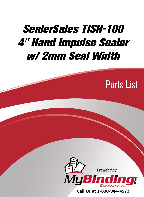## SealerSales TISH-100 [4" Hand Impulse Sealer](http://www.mybinding.com/sealersales-tish-series-4-impulse-hand-sealers.html?sku=TISH-100)  w/ 2mm Seal Width

Parts List



Call Us at 1-800-944-4573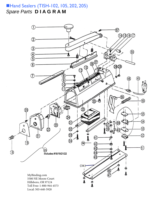## Hand Sealers (TISH-10[2, 105,](http://www.mybinding.com/sealersales-tish-series-4-impulse-hand-sealers.html?sku=TISH-105) 202, [205\)](http://www.mybinding.com/sealersales-tish-series-8-impulse-hand-sealers.html?sku=TISH-205) *Spare Parts* **D I A G R A M**